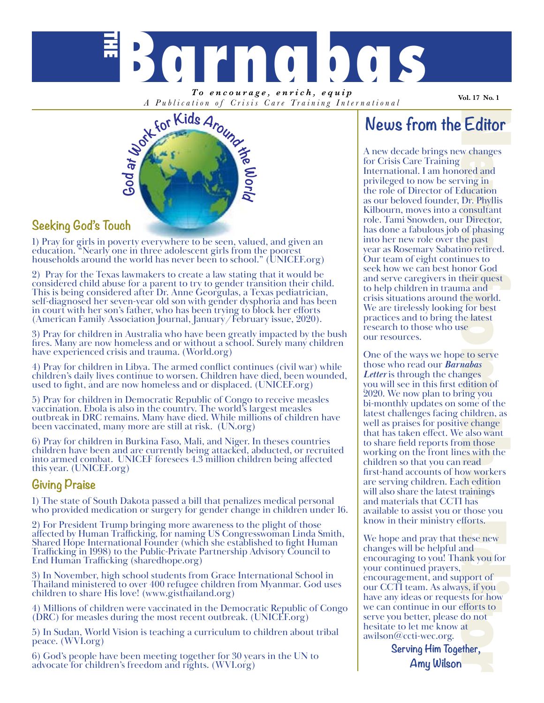

*To encourage, enrich, equip A Publication of Crisis Care Training Inter national*

**Vol. 17 No. 1**



## **Seeking God's Touch**

1) Pray for girls in poverty everywhere to be seen, valued, and given an education. "Nearly one in three adolescent girls from the poorest households around the world has never been to school." (UNICEF.org)

2) Pray for the Texas lawmakers to create a law stating that it would be considered child abuse for a parent to try to gender transition their child. This is being considered after Dr. Anne Georgulas, a Texas pediatrician, self-diagnosed her seven-year old son with gender dysphoria and has been in court with her son's father, who has been trying to block her efforts (American Family Association Journal, January/February issue, 2020).

3) Pray for children in Australia who have been greatly impacted by the bush fires. Many are now homeless and or without a school. Surely many children have experienced crisis and trauma. (World.org)

4) Pray for children in Libya. The armed conflict continues (civil war) while children's daily lives continue to worsen. Children have died, been wounded, used to fight, and are now homeless and or displaced. (UNICEF.org)

5) Pray for children in Democratic Republic of Congo to receive measles vaccination. Ebola is also in the country. The world's largest measles outbreak in DRC remains. Many have died. While millions of children have been vaccinated, many more are still at risk. (UN.org)

6) Pray for children in Burkina Faso, Mali, and Niger. In theses countries children have been and are currently being attacked, abducted, or recruited into armed combat. UNICEF foresees 4.3 million children being affected this year. (UNICEF.org)

### **Giving Praise**

1) The state of South Dakota passed a bill that penalizes medical personal who provided medication or surgery for gender change in children under 16.

2) For President Trump bringing more awareness to the plight of those affected by Human Trafficking, for naming US Congresswoman Linda Smith, Shared Hope International Founder (which she established to fight Human Trafficking in 1998) to the Public-Private Partnership Advisory Council to End Human Trafficking (sharedhope.org)

3) In November, high school students from Grace International School in Thailand ministered to over 400 refugee children from Myanmar. God uses children to share His love! (www.gisthailand.org)

4) Millions of children were vaccinated in the Democratic Republic of Congo (DRC) for measles during the most recent outbreak. (UNICEF.org)

5) In Sudan, World Vision is teaching a curriculum to children about tribal peace. (WVI.org)

6) God's people have been meeting together for 30 years in the UN to advocate for children's freedom and rights. (WVI.org)

## **News from the Editor**

**Editor**<br>w changes<br>ored and<br>ving in<br>ducation Dr. Phyllis<br>consultant Tirector;<br>of phasing<br>ne past<br>more from the past<br>more for best<br>near and the world.<br>for best near and<br>g for best<br>near and<br>cy for best<br>near ange<br>e also want A new decade brings new changes for Crisis Care Training International. I am honored and privileged to now be serving in the role of Director of Education as our beloved founder, Dr. Phyllis Kilbourn, moves into a consultant role. Tami Snowden, our Director, has done a fabulous job of phasing into her new role over the past year as Rosemary Sabatino retired. Our team of eight continues to seek how we can best honor God and serve caregivers in their quest to help children in trauma and crisis situations around the world. We are tirelessly looking for best practices and to bring the latest research to those who use our resources.

One of the ways we hope to serve those who read our *Barnabas Letter* is through the changes you will see in this first edition of 2020. We now plan to bring you bi-monthly updates on some of the latest challenges facing children, as well as praises for positive change that has taken effect. We also want to share field reports from those working on the front lines with the children so that you can read first-hand accounts of how workers are serving children. Each edition will also share the latest trainings and materials that CCTI has available to assist you or those you know in their ministry efforts.

We hope and pray that these new changes will be helpful and encouraging to you! Thank you for your continued prayers, encouragement, and support of our CCTI team. As always, if you have any ideas or requests for how we can continue in our efforts to serve you better, please do not hesitate to let me know at awilson@ccti-wec.org.

**Serving Him Together, Amy Wilson**